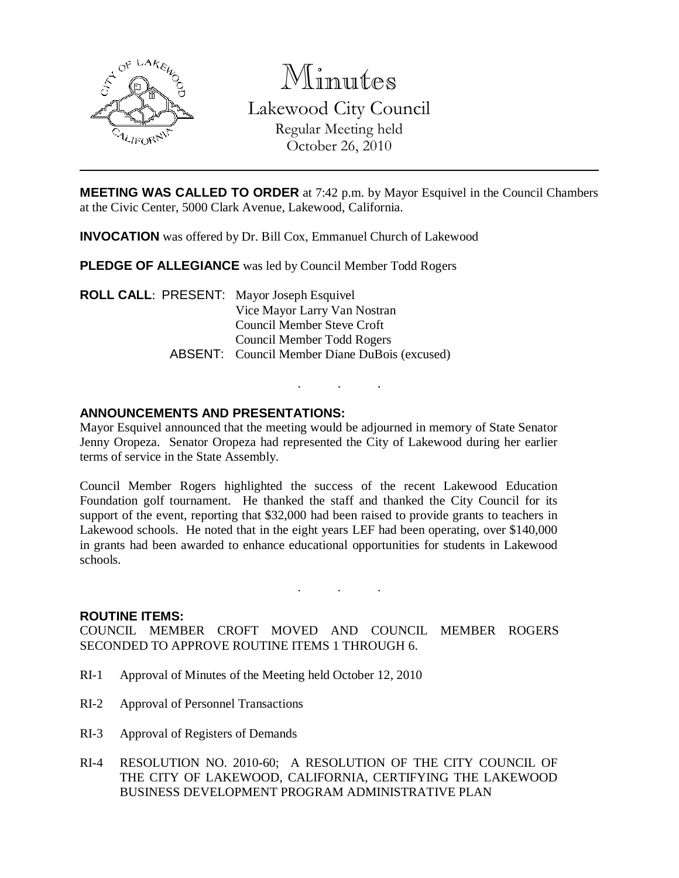

Minutes Lakewood City Council Regular Meeting held October 26, 2010

**MEETING WAS CALLED TO ORDER** at 7:42 p.m. by Mayor Esquivel in the Council Chambers at the Civic Center, 5000 Clark Avenue, Lakewood, California.

**INVOCATION** was offered by Dr. Bill Cox, Emmanuel Church of Lakewood

**PLEDGE OF ALLEGIANCE** was led by Council Member Todd Rogers

**ROLL CALL**: PRESENT: Mayor Joseph Esquivel Vice Mayor Larry Van Nostran Council Member Steve Croft Council Member Todd Rogers ABSENT: Council Member Diane DuBois (excused)

## **ANNOUNCEMENTS AND PRESENTATIONS:**

Mayor Esquivel announced that the meeting would be adjourned in memory of State Senator Jenny Oropeza. Senator Oropeza had represented the City of Lakewood during her earlier terms of service in the State Assembly.

. . .

Council Member Rogers highlighted the success of the recent Lakewood Education Foundation golf tournament. He thanked the staff and thanked the City Council for its support of the event, reporting that \$32,000 had been raised to provide grants to teachers in Lakewood schools. He noted that in the eight years LEF had been operating, over \$140,000 in grants had been awarded to enhance educational opportunities for students in Lakewood schools.

. . .

### **ROUTINE ITEMS:**

COUNCIL MEMBER CROFT MOVED AND COUNCIL MEMBER ROGERS SECONDED TO APPROVE ROUTINE ITEMS 1 THROUGH 6.

- RI-1 Approval of Minutes of the Meeting held October 12, 2010
- RI-2 Approval of Personnel Transactions
- RI-3 Approval of Registers of Demands
- RI-4 RESOLUTION NO. 2010-60; A RESOLUTION OF THE CITY COUNCIL OF THE CITY OF LAKEWOOD, CALIFORNIA, CERTIFYING THE LAKEWOOD BUSINESS DEVELOPMENT PROGRAM ADMINISTRATIVE PLAN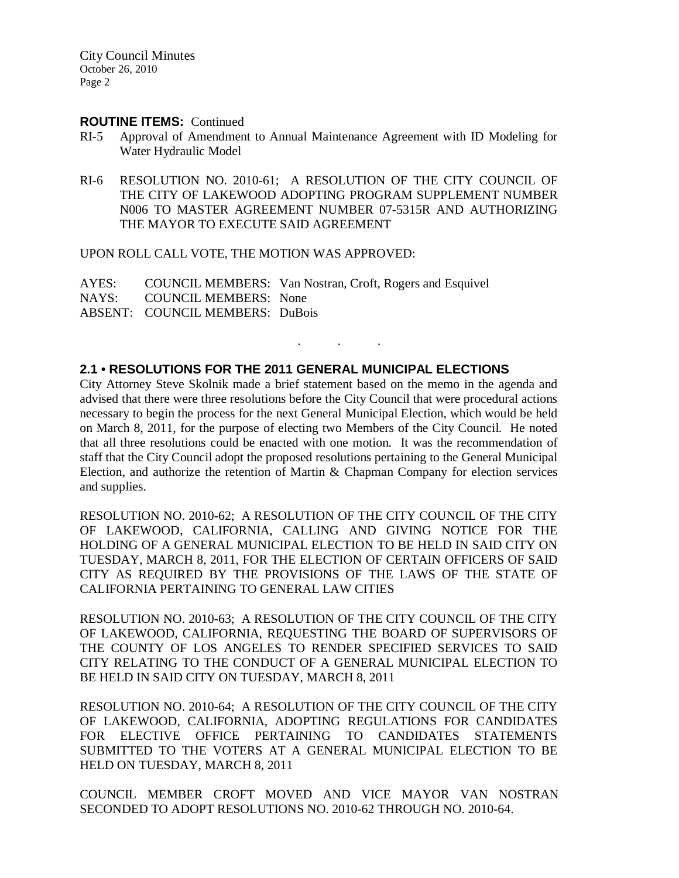City Council Minutes October 26, 2010 Page 2

### **ROUTINE ITEMS:** Continued

- RI-5 Approval of Amendment to Annual Maintenance Agreement with ID Modeling for Water Hydraulic Model
- RI-6 RESOLUTION NO. 2010-61; A RESOLUTION OF THE CITY COUNCIL OF THE CITY OF LAKEWOOD ADOPTING PROGRAM SUPPLEMENT NUMBER N006 TO MASTER AGREEMENT NUMBER 07-5315R AND AUTHORIZING THE MAYOR TO EXECUTE SAID AGREEMENT

UPON ROLL CALL VOTE, THE MOTION WAS APPROVED:

AYES: COUNCIL MEMBERS: Van Nostran, Croft, Rogers and Esquivel NAYS: COUNCIL MEMBERS: None ABSENT: COUNCIL MEMBERS: DuBois

### **2.1 • RESOLUTIONS FOR THE 2011 GENERAL MUNICIPAL ELECTIONS**

City Attorney Steve Skolnik made a brief statement based on the memo in the agenda and advised that there were three resolutions before the City Council that were procedural actions necessary to begin the process for the next General Municipal Election, which would be held on March 8, 2011, for the purpose of electing two Members of the City Council. He noted that all three resolutions could be enacted with one motion. It was the recommendation of staff that the City Council adopt the proposed resolutions pertaining to the General Municipal Election, and authorize the retention of Martin & Chapman Company for election services and supplies.

. . .

RESOLUTION NO. 2010-62; A RESOLUTION OF THE CITY COUNCIL OF THE CITY OF LAKEWOOD, CALIFORNIA, CALLING AND GIVING NOTICE FOR THE HOLDING OF A GENERAL MUNICIPAL ELECTION TO BE HELD IN SAID CITY ON TUESDAY, MARCH 8, 2011, FOR THE ELECTION OF CERTAIN OFFICERS OF SAID CITY AS REQUIRED BY THE PROVISIONS OF THE LAWS OF THE STATE OF CALIFORNIA PERTAINING TO GENERAL LAW CITIES

RESOLUTION NO. 2010-63; A RESOLUTION OF THE CITY COUNCIL OF THE CITY OF LAKEWOOD, CALIFORNIA, REQUESTING THE BOARD OF SUPERVISORS OF THE COUNTY OF LOS ANGELES TO RENDER SPECIFIED SERVICES TO SAID CITY RELATING TO THE CONDUCT OF A GENERAL MUNICIPAL ELECTION TO BE HELD IN SAID CITY ON TUESDAY, MARCH 8, 2011

RESOLUTION NO. 2010-64; A RESOLUTION OF THE CITY COUNCIL OF THE CITY OF LAKEWOOD, CALIFORNIA, ADOPTING REGULATIONS FOR CANDIDATES FOR ELECTIVE OFFICE PERTAINING TO CANDIDATES STATEMENTS SUBMITTED TO THE VOTERS AT A GENERAL MUNICIPAL ELECTION TO BE HELD ON TUESDAY, MARCH 8, 2011

COUNCIL MEMBER CROFT MOVED AND VICE MAYOR VAN NOSTRAN SECONDED TO ADOPT RESOLUTIONS NO. 2010-62 THROUGH NO. 2010-64.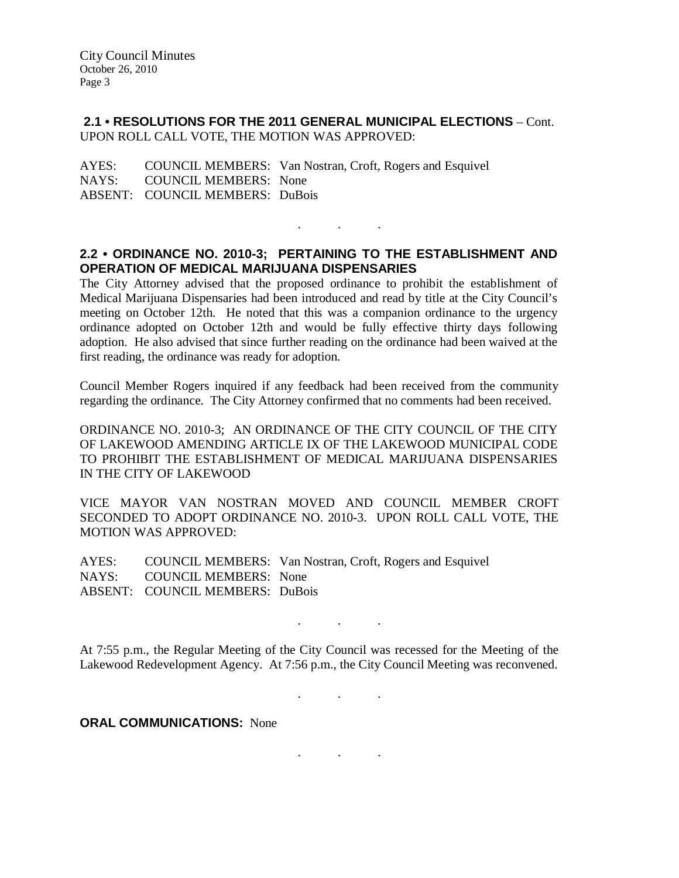## **2.1 • RESOLUTIONS FOR THE 2011 GENERAL MUNICIPAL ELECTIONS** – Cont. UPON ROLL CALL VOTE, THE MOTION WAS APPROVED:

AYES: COUNCIL MEMBERS: Van Nostran, Croft, Rogers and Esquivel NAYS: COUNCIL MEMBERS: None ABSENT: COUNCIL MEMBERS: DuBois

## **2.2 • ORDINANCE NO. 2010-3; PERTAINING TO THE ESTABLISHMENT AND OPERATION OF MEDICAL MARIJUANA DISPENSARIES**

. . .

The City Attorney advised that the proposed ordinance to prohibit the establishment of Medical Marijuana Dispensaries had been introduced and read by title at the City Council's meeting on October 12th. He noted that this was a companion ordinance to the urgency ordinance adopted on October 12th and would be fully effective thirty days following adoption. He also advised that since further reading on the ordinance had been waived at the first reading, the ordinance was ready for adoption.

Council Member Rogers inquired if any feedback had been received from the community regarding the ordinance. The City Attorney confirmed that no comments had been received.

ORDINANCE NO. 2010-3; AN ORDINANCE OF THE CITY COUNCIL OF THE CITY OF LAKEWOOD AMENDING ARTICLE IX OF THE LAKEWOOD MUNICIPAL CODE TO PROHIBIT THE ESTABLISHMENT OF MEDICAL MARIJUANA DISPENSARIES IN THE CITY OF LAKEWOOD

VICE MAYOR VAN NOSTRAN MOVED AND COUNCIL MEMBER CROFT SECONDED TO ADOPT ORDINANCE NO. 2010-3. UPON ROLL CALL VOTE, THE MOTION WAS APPROVED:

AYES: COUNCIL MEMBERS: Van Nostran, Croft, Rogers and Esquivel NAYS: COUNCIL MEMBERS: None ABSENT: COUNCIL MEMBERS: DuBois

At 7:55 p.m., the Regular Meeting of the City Council was recessed for the Meeting of the Lakewood Redevelopment Agency. At 7:56 p.m., the City Council Meeting was reconvened.

. . .

. . .

**ORAL COMMUNICATIONS:** None

. . .